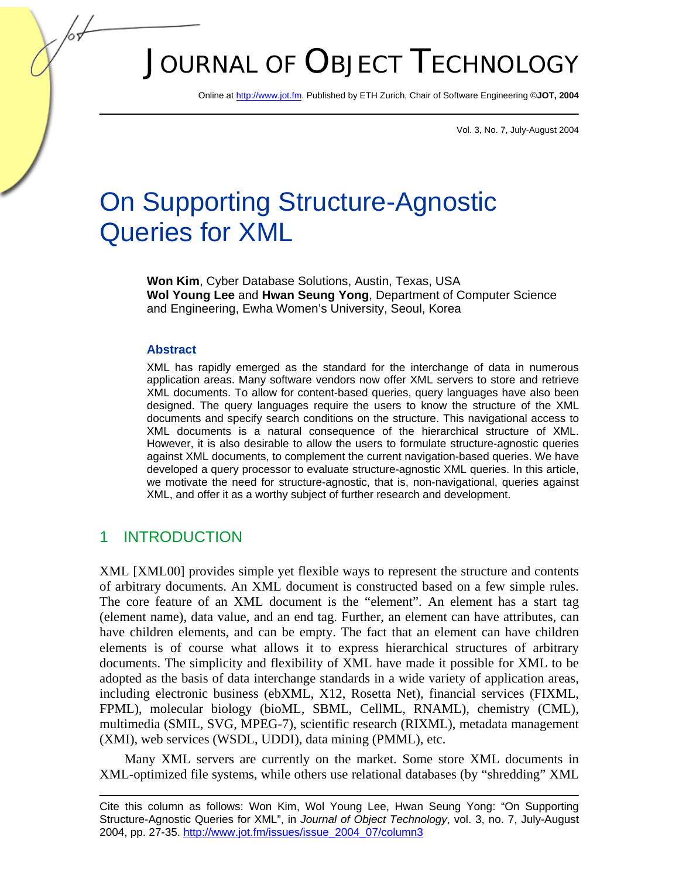# JOURNAL OF OBJECT TECHNOLOGY

Online [at http://www.jot.fm.](http://www.jot.fm) Published by ETH Zurich, Chair of Software Engineering ©**JOT, 2004** 

Vol. 3, No. 7, July-August 2004

## On Supporting Structure-Agnostic Queries for XML

**Won Kim**, Cyber Database Solutions, Austin, Texas, USA **Wol Young Lee** and **Hwan Seung Yong**, Department of Computer Science and Engineering, Ewha Women's University, Seoul, Korea

#### **Abstract**

XML has rapidly emerged as the standard for the interchange of data in numerous application areas. Many software vendors now offer XML servers to store and retrieve XML documents. To allow for content-based queries, query languages have also been designed. The query languages require the users to know the structure of the XML documents and specify search conditions on the structure. This navigational access to XML documents is a natural consequence of the hierarchical structure of XML. However, it is also desirable to allow the users to formulate structure-agnostic queries against XML documents, to complement the current navigation-based queries. We have developed a query processor to evaluate structure-agnostic XML queries. In this article, we motivate the need for structure-agnostic, that is, non-navigational, queries against XML, and offer it as a worthy subject of further research and development.

#### 1 INTRODUCTION

XML [XML00] provides simple yet flexible ways to represent the structure and contents of arbitrary documents. An XML document is constructed based on a few simple rules. The core feature of an XML document is the "element". An element has a start tag (element name), data value, and an end tag. Further, an element can have attributes, can have children elements, and can be empty. The fact that an element can have children elements is of course what allows it to express hierarchical structures of arbitrary documents. The simplicity and flexibility of XML have made it possible for XML to be adopted as the basis of data interchange standards in a wide variety of application areas, including electronic business (ebXML, X12, Rosetta Net), financial services (FIXML, FPML), molecular biology (bioML, SBML, CellML, RNAML), chemistry (CML), multimedia (SMIL, SVG, MPEG-7), scientific research (RIXML), metadata management (XMI), web services (WSDL, UDDI), data mining (PMML), etc.

Many XML servers are currently on the market. Some store XML documents in XML-optimized file systems, while others use relational databases (by "shredding" XML

Cite this column as follows: Won Kim, Wol Young Lee, Hwan Seung Yong: "On Supporting Structure-Agnostic Queries for XML", in *Journal of Object Technology*, vol. 3, no. 7, July-August 2004, pp. 27-3[5. http://www.jot.fm/issues/issue\\_2004\\_07/column3](http://www.jot.fm/issues/issue_2004_07/column3)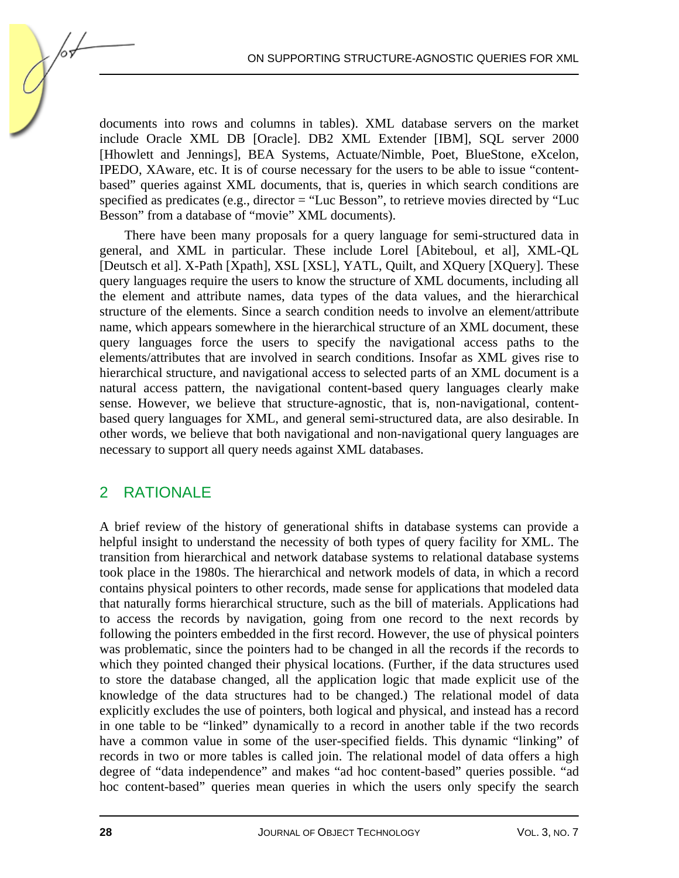documents into rows and columns in tables). XML database servers on the market include Oracle XML DB [Oracle]. DB2 XML Extender [IBM], SQL server 2000 [Hhowlett and Jennings], BEA Systems, Actuate/Nimble, Poet, BlueStone, eXcelon, IPEDO, XAware, etc. It is of course necessary for the users to be able to issue "contentbased" queries against XML documents, that is, queries in which search conditions are specified as predicates (e.g., director  $=$  "Luc Besson", to retrieve movies directed by "Luc Besson" from a database of "movie" XML documents).

There have been many proposals for a query language for semi-structured data in general, and XML in particular. These include Lorel [Abiteboul, et al], XML-QL [Deutsch et al]. X-Path [Xpath], XSL [XSL], YATL, Quilt, and XQuery [XQuery]. These query languages require the users to know the structure of XML documents, including all the element and attribute names, data types of the data values, and the hierarchical structure of the elements. Since a search condition needs to involve an element/attribute name, which appears somewhere in the hierarchical structure of an XML document, these query languages force the users to specify the navigational access paths to the elements/attributes that are involved in search conditions. Insofar as XML gives rise to hierarchical structure, and navigational access to selected parts of an XML document is a natural access pattern, the navigational content-based query languages clearly make sense. However, we believe that structure-agnostic, that is, non-navigational, contentbased query languages for XML, and general semi-structured data, are also desirable. In other words, we believe that both navigational and non-navigational query languages are necessary to support all query needs against XML databases.

## 2 RATIONALE

A brief review of the history of generational shifts in database systems can provide a helpful insight to understand the necessity of both types of query facility for XML. The transition from hierarchical and network database systems to relational database systems took place in the 1980s. The hierarchical and network models of data, in which a record contains physical pointers to other records, made sense for applications that modeled data that naturally forms hierarchical structure, such as the bill of materials. Applications had to access the records by navigation, going from one record to the next records by following the pointers embedded in the first record. However, the use of physical pointers was problematic, since the pointers had to be changed in all the records if the records to which they pointed changed their physical locations. (Further, if the data structures used to store the database changed, all the application logic that made explicit use of the knowledge of the data structures had to be changed.) The relational model of data explicitly excludes the use of pointers, both logical and physical, and instead has a record in one table to be "linked" dynamically to a record in another table if the two records have a common value in some of the user-specified fields. This dynamic "linking" of records in two or more tables is called join. The relational model of data offers a high degree of "data independence" and makes "ad hoc content-based" queries possible. "ad hoc content-based" queries mean queries in which the users only specify the search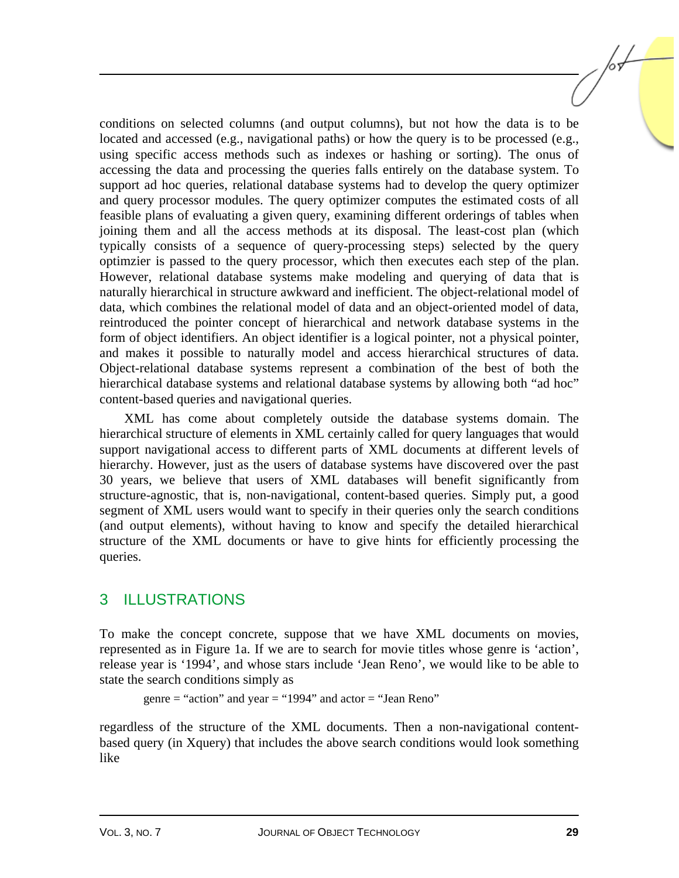conditions on selected columns (and output columns), but not how the data is to be located and accessed (e.g., navigational paths) or how the query is to be processed (e.g., using specific access methods such as indexes or hashing or sorting). The onus of accessing the data and processing the queries falls entirely on the database system. To support ad hoc queries, relational database systems had to develop the query optimizer and query processor modules. The query optimizer computes the estimated costs of all feasible plans of evaluating a given query, examining different orderings of tables when joining them and all the access methods at its disposal. The least-cost plan (which typically consists of a sequence of query-processing steps) selected by the query optimzier is passed to the query processor, which then executes each step of the plan. However, relational database systems make modeling and querying of data that is naturally hierarchical in structure awkward and inefficient. The object-relational model of data, which combines the relational model of data and an object-oriented model of data, reintroduced the pointer concept of hierarchical and network database systems in the form of object identifiers. An object identifier is a logical pointer, not a physical pointer, and makes it possible to naturally model and access hierarchical structures of data. Object-relational database systems represent a combination of the best of both the hierarchical database systems and relational database systems by allowing both "ad hoc" content-based queries and navigational queries.

XML has come about completely outside the database systems domain. The hierarchical structure of elements in XML certainly called for query languages that would support navigational access to different parts of XML documents at different levels of hierarchy. However, just as the users of database systems have discovered over the past 30 years, we believe that users of XML databases will benefit significantly from structure-agnostic, that is, non-navigational, content-based queries. Simply put, a good segment of XML users would want to specify in their queries only the search conditions (and output elements), without having to know and specify the detailed hierarchical structure of the XML documents or have to give hints for efficiently processing the queries.

## 3 ILLUSTRATIONS

To make the concept concrete, suppose that we have XML documents on movies, represented as in Figure 1a. If we are to search for movie titles whose genre is 'action', release year is '1994', and whose stars include 'Jean Reno', we would like to be able to state the search conditions simply as

```
genre = "action" and year = "1994" and actor = "Jean Reno"
```
regardless of the structure of the XML documents. Then a non-navigational contentbased query (in Xquery) that includes the above search conditions would look something like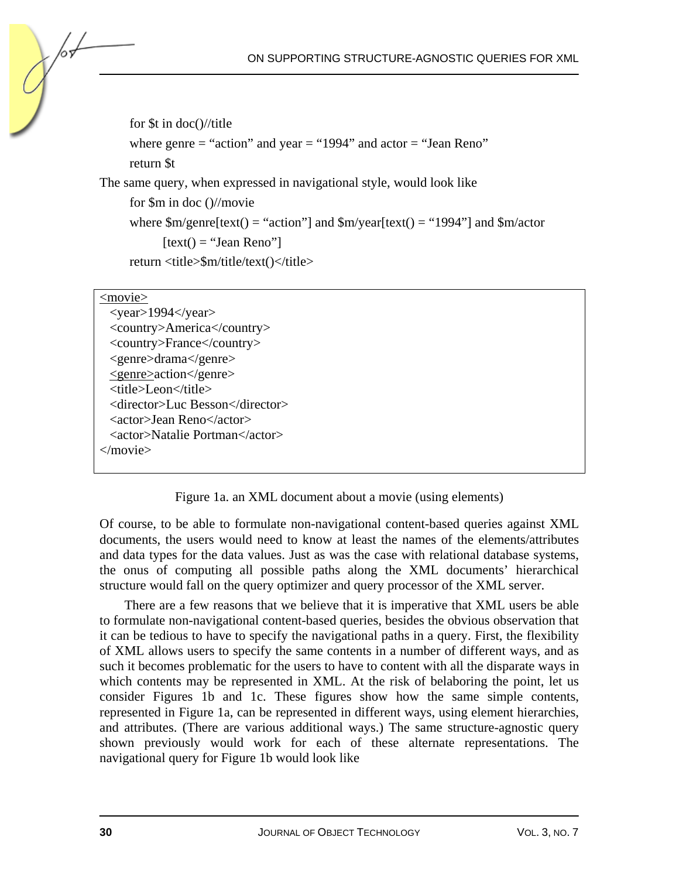for \$t in doc()//title where genre  $=$  "action" and year  $=$  "1994" and actor  $=$  "Jean Reno" return \$t The same query, when expressed in navigational style, would look like for \$m in doc ()//movie where  $\text{Sm/genre}$ [text() = "action"] and  $\text{Sm/year}$ [text() = "1994"] and  $\text{Sm/actor}$  $[text() = "Jean Reno"]$ return <title>\$m/title/text()</title>

#### <movie>

 $\overline{\langle \text{year}\rangle}$ 1994 $\langle \text{year}\rangle$ <country>America</country> <country>France</country> <genre>drama</genre> <genre>action</genre>  $\frac{1}{\text{title}}$  eon $\text{title}$ <director>Luc Besson</director> <actor>Jean Reno</actor> <actor>Natalie Portman</actor> </movie>

Figure 1a. an XML document about a movie (using elements)

Of course, to be able to formulate non-navigational content-based queries against XML documents, the users would need to know at least the names of the elements/attributes and data types for the data values. Just as was the case with relational database systems, the onus of computing all possible paths along the XML documents' hierarchical structure would fall on the query optimizer and query processor of the XML server.

There are a few reasons that we believe that it is imperative that XML users be able to formulate non-navigational content-based queries, besides the obvious observation that it can be tedious to have to specify the navigational paths in a query. First, the flexibility of XML allows users to specify the same contents in a number of different ways, and as such it becomes problematic for the users to have to content with all the disparate ways in which contents may be represented in XML. At the risk of belaboring the point, let us consider Figures 1b and 1c. These figures show how the same simple contents, represented in Figure 1a, can be represented in different ways, using element hierarchies, and attributes. (There are various additional ways.) The same structure-agnostic query shown previously would work for each of these alternate representations. The navigational query for Figure 1b would look like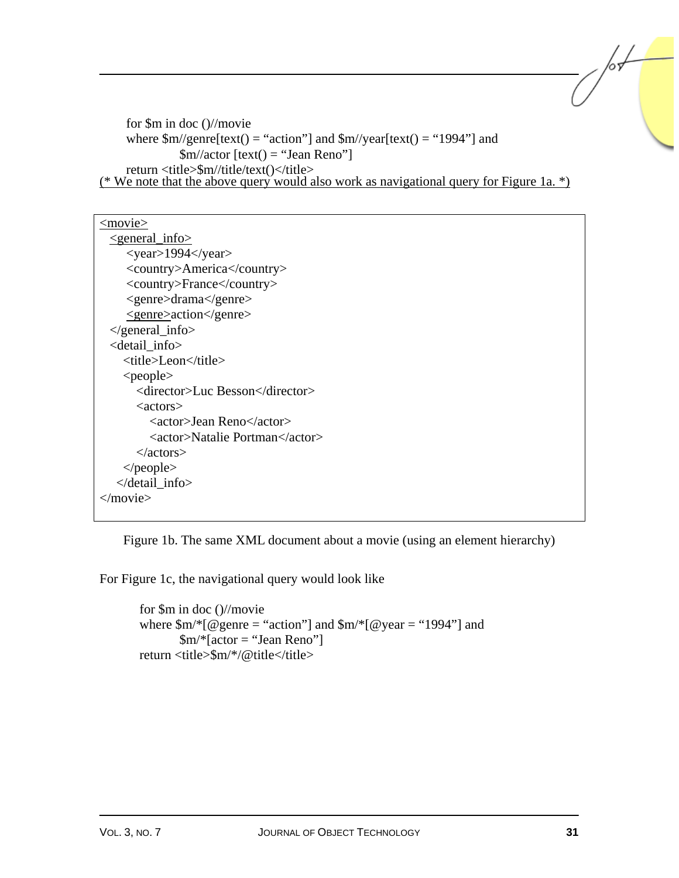```
for $m in doc ()//movie 
      where \frac{\text{Sm}}{\text{generic}} = "action"] and \frac{\text{Sm}}{\text{vector}} are [text() = "1994"] and
                  \text{\$m/factor} [text() = "Jean Reno"]
      return <title>$m//title/text()</title>
(* We note that the above query would also work as navigational query for Figure 1a. *)
```

| $<$ movie $>$                            |
|------------------------------------------|
| $\epsilon$ general_info $\epsilon$       |
| $<$ year>1994 $<$ /year>                 |
| <country>America</country>               |
| <country>France</country>                |
| <genre>drama</genre>                     |
| <genre>action</genre>                    |
| $\langle$ general_info>                  |
| <detail info=""></detail>                |
| <title>Leon</title>                      |
| $\langle$ people $\rangle$               |
| <director>Luc Besson</director>          |
| $\langle \text{actors} \rangle$          |
| <actor>Jean Reno</actor>                 |
| <actor>Natalie Portman</actor>           |
| $\langle$ actors $>$                     |
| $\langle$ people $\rangle$               |
| $\triangle$ detail info $\triangleright$ |
|                                          |
|                                          |

Figure 1b. The same XML document about a movie (using an element hierarchy)

For Figure 1c, the navigational query would look like

```
for $m in doc ()//movie 
where \text{Sm}<sup>*</sup>[@genre = "action"] and \text{Sm}<sup>*</sup>[@year = "1994"] and
          \rm Sm/*[actor = "Jean Reno"]return \langle\text{title}\rangle\$m/*/@title\langle\text{title}\rangle
```
/or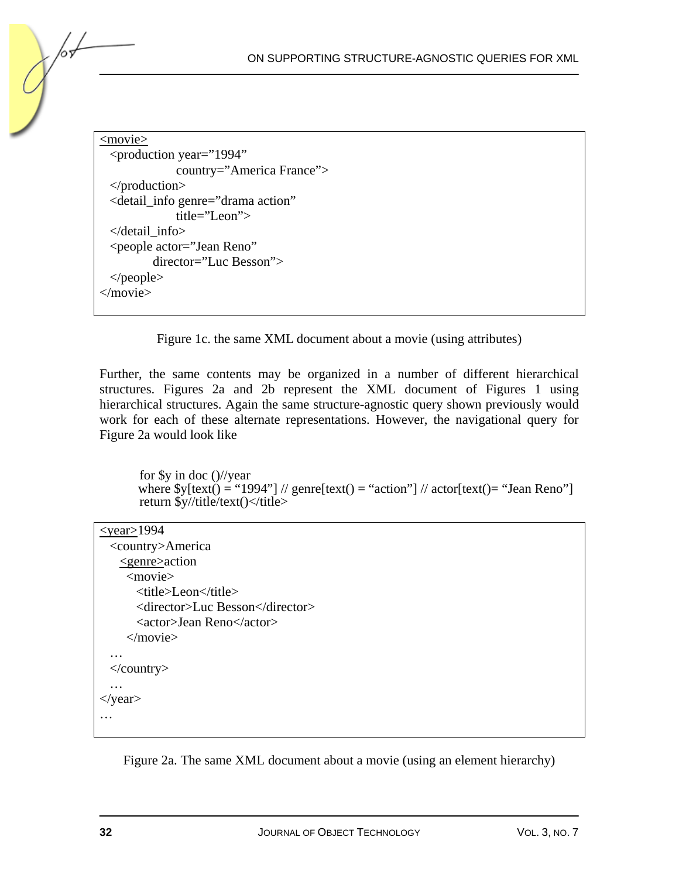$\leq$ movie $\geq$ <production year="1994" country="America France"> </production> <detail\_info genre="drama action" title="Leon"> </detail\_info> <people actor="Jean Reno" director="Luc Besson"> </people> </movie>

Figure 1c. the same XML document about a movie (using attributes)

Further, the same contents may be organized in a number of different hierarchical structures. Figures 2a and 2b represent the XML document of Figures 1 using hierarchical structures. Again the same structure-agnostic query shown previously would work for each of these alternate representations. However, the navigational query for Figure 2a would look like

for \$y in doc ()//year where  $\frac{\partial y}{\partial x} = \frac{\partial^2 y}{\partial y}$  // genre[text() = "action"] // actor[text() = "Jean Reno"] return  $\frac{y}{t}$ title/text()</title>

| $\le$ year $\ge$ 1994           |
|---------------------------------|
| <country>America</country>      |
| <genre>action</genre>           |
| <movie></movie>                 |
| <title>Leon</title>             |
| <director>Luc Besson</director> |
| <actor>Jean Reno</actor>        |
| $<$ /movie>                     |
| .                               |
| $\langle$ /country>             |
| $\cdot\cdot\cdot$               |
| $\langle$ year $\rangle$        |
|                                 |

Figure 2a. The same XML document about a movie (using an element hierarchy)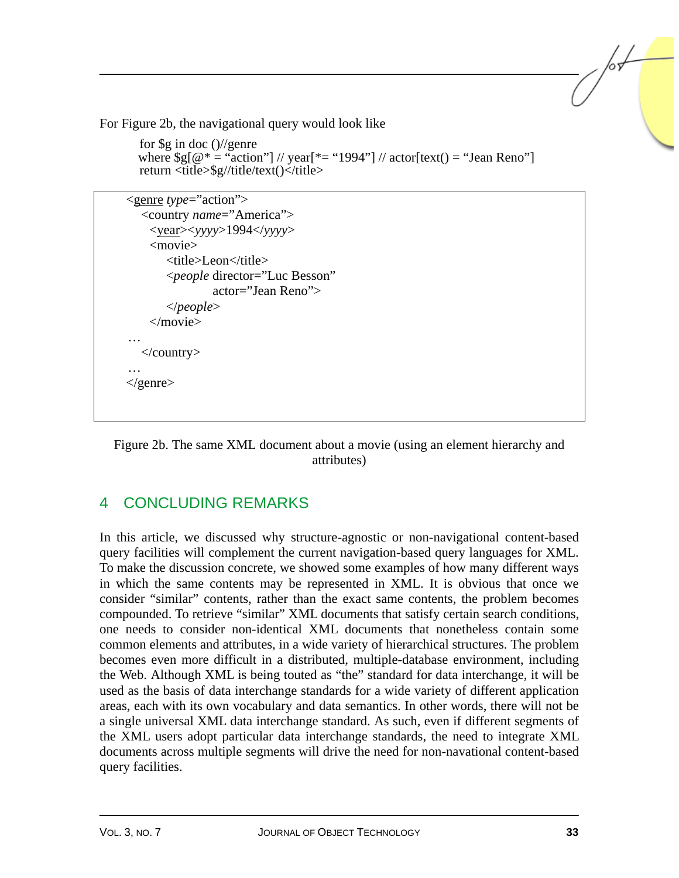For Figure 2b, the navigational query would look like

```
for \frac{6}{2} in doc \frac{1}{2} enre
where \Im g[\omega^* = \Im \{a \cdot \bar{b}\}]/\sqrt{\Im g} vear[\ast = \Im g | \Im g actor[text() = \Im g Reno"]
return <title>$g//title/text()</title>
```
<genre *type*="action"> <country *name*="America"> <year><*yyyy*>1994</*yyyy*> <movie> <title>Leon</title> <*people* director="Luc Besson" actor="Jean Reno"> </*people*> </movie> … </country> …  $\langle$ genre $\rangle$ 

Figure 2b. The same XML document about a movie (using an element hierarchy and attributes)

## 4 CONCLUDING REMARKS

In this article, we discussed why structure-agnostic or non-navigational content-based query facilities will complement the current navigation-based query languages for XML. To make the discussion concrete, we showed some examples of how many different ways in which the same contents may be represented in XML. It is obvious that once we consider "similar" contents, rather than the exact same contents, the problem becomes compounded. To retrieve "similar" XML documents that satisfy certain search conditions, one needs to consider non-identical XML documents that nonetheless contain some common elements and attributes, in a wide variety of hierarchical structures. The problem becomes even more difficult in a distributed, multiple-database environment, including the Web. Although XML is being touted as "the" standard for data interchange, it will be used as the basis of data interchange standards for a wide variety of different application areas, each with its own vocabulary and data semantics. In other words, there will not be a single universal XML data interchange standard. As such, even if different segments of the XML users adopt particular data interchange standards, the need to integrate XML documents across multiple segments will drive the need for non-navational content-based query facilities.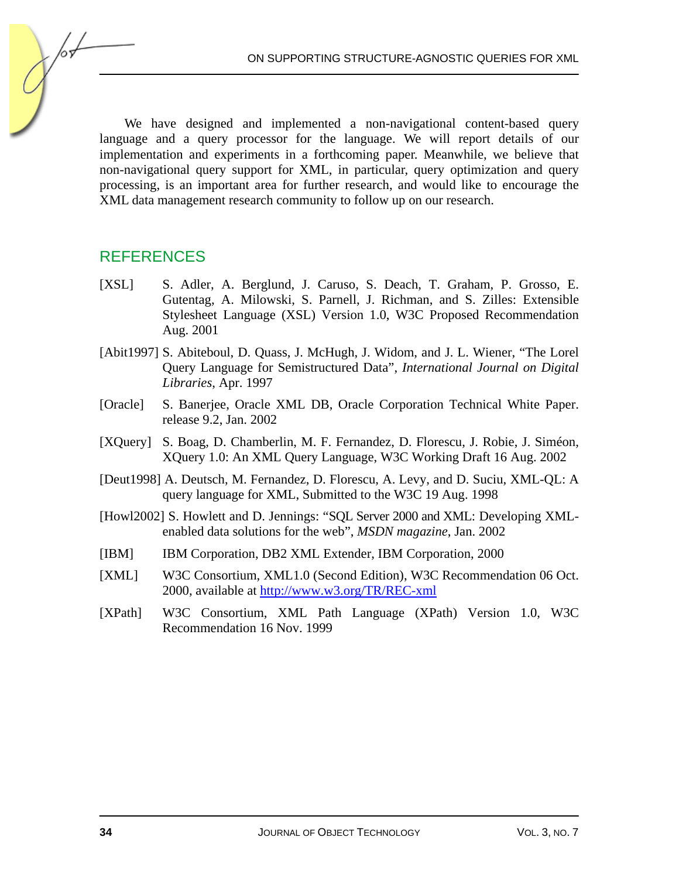We have designed and implemented a non-navigational content-based query language and a query processor for the language. We will report details of our implementation and experiments in a forthcoming paper. Meanwhile, we believe that non-navigational query support for XML, in particular, query optimization and query processing, is an important area for further research, and would like to encourage the XML data management research community to follow up on our research.

#### **REFERENCES**

/or

- [XSL] S. Adler, A. Berglund, J. Caruso, S. Deach, T. Graham, P. Grosso, E. Gutentag, A. Milowski, S. Parnell, J. Richman, and S. Zilles: Extensible Stylesheet Language (XSL) Version 1.0, W3C Proposed Recommendation Aug. 2001
- [Abit1997] S. Abiteboul, D. Quass, J. McHugh, J. Widom, and J. L. Wiener, "The Lorel Query Language for Semistructured Data", *International Journal on Digital Libraries*, Apr. 1997
- [Oracle] S. Banerjee, Oracle XML DB, Oracle Corporation Technical White Paper. release 9.2, Jan. 2002
- [XQuery] S. Boag, D. Chamberlin, M. F. Fernandez, D. Florescu, J. Robie, J. Siméon, XQuery 1.0: An XML Query Language, W3C Working Draft 16 Aug. 2002
- [Deut1998] A. Deutsch, M. Fernandez, D. Florescu, A. Levy, and D. Suciu, XML-QL: A query language for XML, Submitted to the W3C 19 Aug. 1998
- [Howl2002] S. Howlett and D. Jennings: "SQL Server 2000 and XML: Developing XMLenabled data solutions for the web", *MSDN magazine*, Jan. 2002
- [IBM] IBM Corporation, DB2 XML Extender, IBM Corporation, 2000
- [XML] W3C Consortium, XML1.0 (Second Edition), W3C Recommendation 06 Oct. 2000, available [at http://www.w3.org/TR/REC-xml](http://www.w3.org/TR/REC-xml)
- [XPath] W3C Consortium, XML Path Language (XPath) Version 1.0, W3C Recommendation 16 Nov. 1999